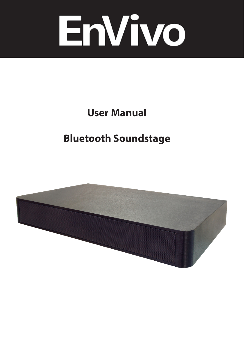

# **User Manual**

# **Bluetooth Soundstage**

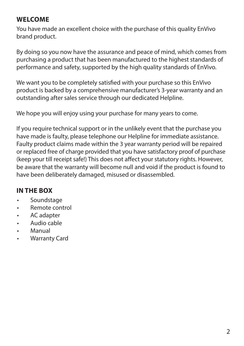#### **WELCOME**

You have made an excellent choice with the purchase of this quality EnVivo brand product.

By doing so you now have the assurance and peace of mind, which comes from purchasing a product that has been manufactured to the highest standards of performance and safety, supported by the high quality standards of EnVivo.

We want you to be completely satisfied with your purchase so this EnVivo product is backed by a comprehensive manufacturer's 3-year warranty and an outstanding after sales service through our dedicated Helpline.

We hope you will enjoy using your purchase for many years to come.

If you require technical support or in the unlikely event that the purchase you have made is faulty, please telephone our Helpline for immediate assistance. Faulty product claims made within the 3 year warranty period will be repaired or replaced free of charge provided that you have satisfactory proof of purchase (keep your till receipt safe!) This does not affect your statutory rights. However, be aware that the warranty will become null and void if the product is found to have been deliberately damaged, misused or disassembled.

#### **IN THE BOX**

- Soundstage
- Remote control
- AC adapter
- Audio cable
- Manual
- Warranty Card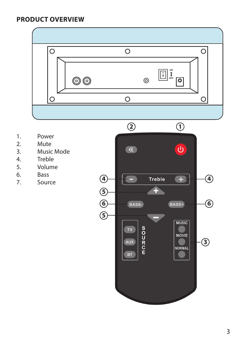#### **PRODUCT OVERVIEW**



- 1. Power<br>2. Mute
- **Mute**
- 3. Music Mode
- 4. Treble<br>5. Volum
- 5. Volume
- 
- 6. Bass<br>7. Sour **Source**

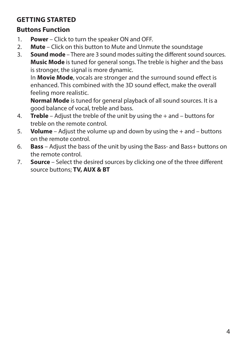### **GETTING STARTED**

#### **Buttons Function**

- 1. **Power** Click to turn the speaker ON and OFF.
- 2. **Mute**  Click on this button to Mute and Unmute the soundstage
- 3. **Sound mode**  There are 3 sound modes suiting the different sound sources. **Music Mode** is tuned for general songs. The treble is higher and the bass is stronger, the signal is more dynamic.

 In **Movie Mode**, vocals are stronger and the surround sound effect is enhanced. This combined with the 3D sound effect, make the overall feeling more realistic.

 **Normal Mode** is tuned for general playback of all sound sources. It is a good balance of vocal, treble and bass.

- 4. **Treble** Adjust the treble of the unit by using the + and buttons for treble on the remote control.
- 5. **Volume** Adjust the volume up and down by using the + and buttons on the remote control.
- 6. **Bass** Adjust the bass of the unit by using the Bass- and Bass+ buttons on the remote control.
- 7. **Source** Select the desired sources by clicking one of the three different source buttons; **TV, AUX & BT**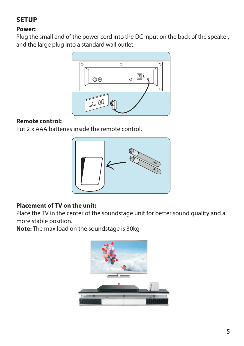## **SETUP**

#### **Power:**

Plug the small end of the power cord into the DC input on the back of the speaker, and the large plug into a standard wall outlet.



#### **Remote control:**

Put 2 x AAA batteries inside the remote control.



#### **Placement of TV on the unit:**

Place the TV in the center of the soundstage unit for better sound quality and a more stable position.

**Note:** The max load on the soundstage is 30kg

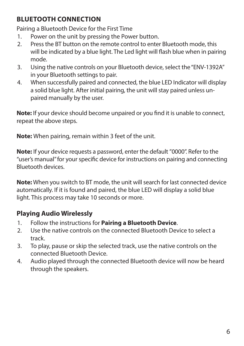#### **BLUETOOTH CONNECTION**

Pairing a Bluetooth Device for the First Time

- 1. Power on the unit by pressing the Power button.
- 2. Press the BT button on the remote control to enter Bluetooth mode, this will be indicated by a blue light. The Led light will flash blue when in pairing mode.
- 3. Using the native controls on your Bluetooth device, select the "ENV-1392A" in your Bluetooth settings to pair.
- 4. When successfully paired and connected, the blue LED Indicator will display a solid blue light. After initial pairing, the unit will stay paired unless unpaired manually by the user.

**Note:** If your device should become unpaired or you find it is unable to connect, repeat the above steps.

**Note:** When pairing, remain within 3 feet of the unit.

**Note:** If your device requests a password, enter the default "0000". Refer to the "user's manual" for your specific device for instructions on pairing and connecting Bluetooth devices.

**Note:** When you switch to BT mode, the unit will search for last connected device automatically. If it is found and paired, the blue LED will display a solid blue light. This process may take 10 seconds or more.

## **Playing Audio Wirelessly**

- 1. Follow the instructions for **Pairing a Bluetooth Device**.
- 2. Use the native controls on the connected Bluetooth Device to select a track.
- 3. To play, pause or skip the selected track, use the native controls on the connected Bluetooth Device.
- 4. Audio played through the connected Bluetooth device will now be heard through the speakers.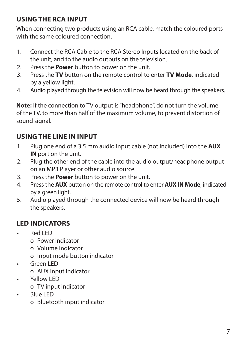#### **USING THE RCA INPUT**

When connecting two products using an RCA cable, match the coloured ports with the same coloured connection.

- 1. Connect the RCA Cable to the RCA Stereo Inputs located on the back of the unit, and to the audio outputs on the television.
- 2. Press the **Power** button to power on the unit.
- 3. Press the **TV** button on the remote control to enter **TV Mode**, indicated by a yellow light.
- 4. Audio played through the television will now be heard through the speakers.

**Note:** If the connection to TV output is "headphone", do not turn the volume of the TV, to more than half of the maximum volume, to prevent distortion of sound signal.

## **USING THE LINE IN INPUT**

- 1. Plug one end of a 3.5 mm audio input cable (not included) into the **AUX IN** port on the unit.
- 2. Plug the other end of the cable into the audio output/headphone output on an MP3 Player or other audio source.
- 3. Press the **Power** button to power on the unit.
- 4. Press the **AUX** button on the remote control to enter **AUX IN Mode**, indicated by a green light.
- 5. Audio played through the connected device will now be heard through the speakers.

## **LED INDICATORS**

- Red LED
	- o Power indicator
	- o Volume indicator
	- o Input mode button indicator
- Green LED
	- o AUX input indicator
- Yellow LED
	- o TV input indicator
- Blue LED
	- o Bluetooth input indicator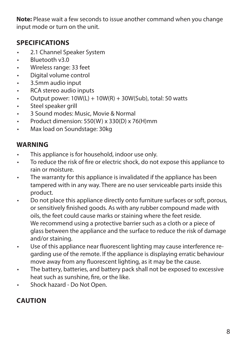**Note:** Please wait a few seconds to issue another command when you change input mode or turn on the unit.

## **SPECIFICATIONS**

- 2.1 Channel Speaker System
- Bluetooth v3.0
- Wireless range: 33 feet
- Digital volume control
- 3.5mm audio input
- RCA stereo audio inputs
- Output power:  $10W(L) + 10W(R) + 30W(Sub)$ , total: 50 watts
- Steel speaker grill
- 3 Sound modes: Music, Movie & Normal
- Product dimension: 550(W) x 330(D) x 76(H)mm
- Max load on Soundstage: 30kg

## **WARNING**

- This appliance is for household, indoor use only.
- To reduce the risk of fire or electric shock, do not expose this appliance to rain or moisture.
- The warranty for this appliance is invalidated if the appliance has been tampered with in any way. There are no user serviceable parts inside this product.
- Do not place this appliance directly onto furniture surfaces or soft, porous, or sensitively finished goods. As with any rubber compound made with oils, the feet could cause marks or staining where the feet reside. We recommend using a protective barrier such as a cloth or a piece of glass between the appliance and the surface to reduce the risk of damage and/or staining.
- Use of this appliance near fluorescent lighting may cause interference regarding use of the remote. If the appliance is displaying erratic behaviour move away from any fluorescent lighting, as it may be the cause.
- The battery, batteries, and battery pack shall not be exposed to excessive heat such as sunshine, fire, or the like.
- Shock hazard Do Not Open.

## **CAUTION**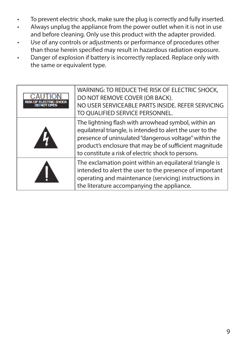- To prevent electric shock, make sure the plug is correctly and fully inserted.
- Always unplug the appliance from the power outlet when it is not in use and before cleaning. Only use this product with the adapter provided.
- Use of any controls or adjustments or performance of procedures other than those herein specified may result in hazardous radiation exposure.
- Danger of explosion if battery is incorrectly replaced. Replace only with the same or equivalent type.

| DO NOT OPEN | WARNING: TO REDUCE THE RISK OF ELECTRIC SHOCK,<br>DO NOT REMOVE COVER (OR BACK).<br>NO USER SERVICEABLE PARTS INSIDE. REFER SERVICING<br>TO QUALIFIED SERVICE PERSONNEL.                                                                                                                      |
|-------------|-----------------------------------------------------------------------------------------------------------------------------------------------------------------------------------------------------------------------------------------------------------------------------------------------|
|             | The lightning flash with arrowhead symbol, within an<br>equilateral triangle, is intended to alert the user to the<br>presence of uninsulated "dangerous voltage" within the<br>product's enclosure that may be of sufficient magnitude<br>to constitute a risk of electric shock to persons. |
|             | The exclamation point within an equilateral triangle is<br>intended to alert the user to the presence of important<br>operating and maintenance (servicing) instructions in<br>the literature accompanying the appliance.                                                                     |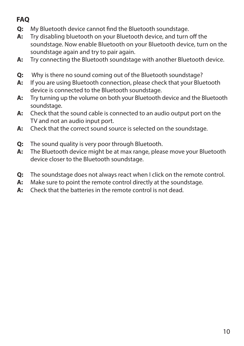# **FAQ**

- **Q:** My Bluetooth device cannot find the Bluetooth soundstage.
- **A:** Try disabling bluetooth on your Bluetooth device, and turn off the soundstage. Now enable Bluetooth on your Bluetooth device, turn on the soundstage again and try to pair again.
- **A:** Try connecting the Bluetooth soundstage with another Bluetooth device.
- **Q:** Why is there no sound coming out of the Bluetooth soundstage?
- **A:** If you are using Bluetooth connection, please check that your Bluetooth device is connected to the Bluetooth soundstage.
- **A:** Try turning up the volume on both your Bluetooth device and the Bluetooth soundstage.
- **A:** Check that the sound cable is connected to an audio output port on the TV and not an audio input port.
- **A:** Check that the correct sound source is selected on the soundstage.
- **Q:** The sound quality is very poor through Bluetooth.
- **A:** The Bluetooth device might be at max range, please move your Bluetooth device closer to the Bluetooth soundstage.
- **Q:** The soundstage does not always react when I click on the remote control.
- **A:** Make sure to point the remote control directly at the soundstage.
- **A:** Check that the batteries in the remote control is not dead.